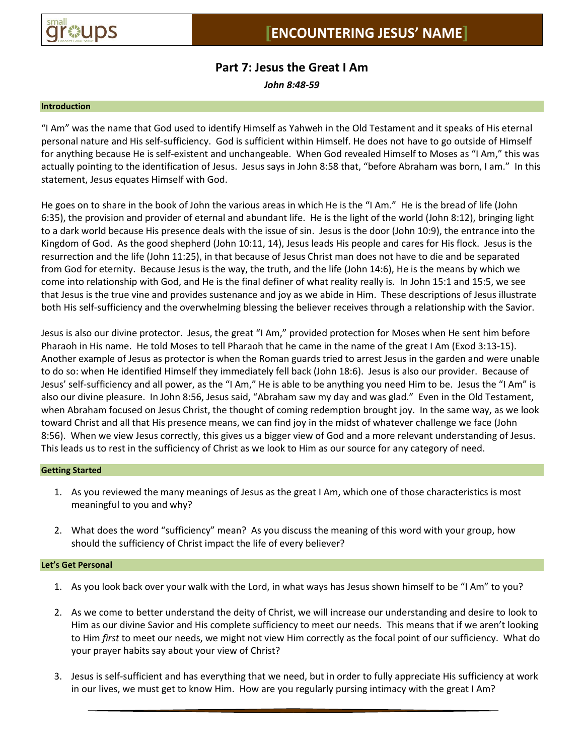

# **Part 7: Jesus the Great I Am**

*John 8:48-59*

#### **Introduction**

"I Am" was the name that God used to identify Himself as Yahweh in the Old Testament and it speaks of His eternal personal nature and His self-sufficiency. God is sufficient within Himself. He does not have to go outside of Himself for anything because He is self-existent and unchangeable. When God revealed Himself to Moses as "I Am," this was actually pointing to the identification of Jesus. Jesus says in John 8:58 that, "before Abraham was born, I am." In this statement, Jesus equates Himself with God.

He goes on to share in the book of John the various areas in which He is the "I Am." He is the bread of life (John 6:35), the provision and provider of eternal and abundant life. He is the light of the world (John 8:12), bringing light to a dark world because His presence deals with the issue of sin. Jesus is the door (John 10:9), the entrance into the Kingdom of God. As the good shepherd (John 10:11, 14), Jesus leads His people and cares for His flock. Jesus is the resurrection and the life (John 11:25), in that because of Jesus Christ man does not have to die and be separated from God for eternity. Because Jesus is the way, the truth, and the life (John 14:6), He is the means by which we come into relationship with God, and He is the final definer of what reality really is. In John 15:1 and 15:5, we see that Jesus is the true vine and provides sustenance and joy as we abide in Him. These descriptions of Jesus illustrate both His self-sufficiency and the overwhelming blessing the believer receives through a relationship with the Savior.

Jesus is also our divine protector. Jesus, the great "I Am," provided protection for Moses when He sent him before Pharaoh in His name. He told Moses to tell Pharaoh that he came in the name of the great I Am (Exod 3:13-15). Another example of Jesus as protector is when the Roman guards tried to arrest Jesus in the garden and were unable to do so: when He identified Himself they immediately fell back (John 18:6). Jesus is also our provider. Because of Jesus' self-sufficiency and all power, as the "I Am," He is able to be anything you need Him to be. Jesus the "I Am" is also our divine pleasure. In John 8:56, Jesus said, "Abraham saw my day and was glad." Even in the Old Testament, when Abraham focused on Jesus Christ, the thought of coming redemption brought joy. In the same way, as we look toward Christ and all that His presence means, we can find joy in the midst of whatever challenge we face (John 8:56). When we view Jesus correctly, this gives us a bigger view of God and a more relevant understanding of Jesus. This leads us to rest in the sufficiency of Christ as we look to Him as our source for any category of need.

## **Getting Started**

- 1. As you reviewed the many meanings of Jesus as the great I Am, which one of those characteristics is most meaningful to you and why?
- 2. What does the word "sufficiency" mean? As you discuss the meaning of this word with your group, how should the sufficiency of Christ impact the life of every believer?

#### **Let's Get Personal**

- 1. As you look back over your walk with the Lord, in what ways has Jesus shown himself to be "I Am" to you?
- 2. As we come to better understand the deity of Christ, we will increase our understanding and desire to look to Him as our divine Savior and His complete sufficiency to meet our needs. This means that if we aren't looking to Him *first* to meet our needs, we might not view Him correctly as the focal point of our sufficiency. What do your prayer habits say about your view of Christ?
- 3. Jesus is self-sufficient and has everything that we need, but in order to fully appreciate His sufficiency at work in our lives, we must get to know Him. How are you regularly pursing intimacy with the great I Am?